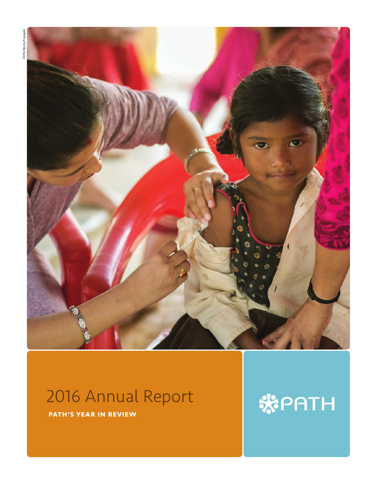

# 2016 Annual Report

PATH's year in review

# **KPATH**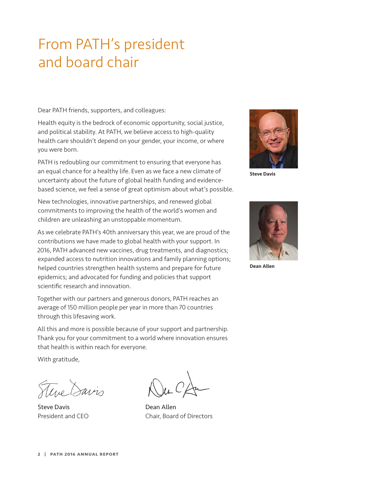# From PATH's president and board chair

Dear PATH friends, supporters, and colleagues:

Health equity is the bedrock of economic opportunity, social justice, and political stability. At PATH, we believe access to high-quality health care shouldn't depend on your gender, your income, or where you were born.

PATH is redoubling our commitment to ensuring that everyone has an equal chance for a healthy life. Even as we face a new climate of uncertainty about the future of global health funding and evidencebased science, we feel a sense of great optimism about what's possible.

New technologies, innovative partnerships, and renewed global commitments to improving the health of the world's women and children are unleashing an unstoppable momentum.

As we celebrate PATH's 40th anniversary this year, we are proud of the contributions we have made to global health with your support. In 2016, PATH advanced new vaccines, drug treatments, and diagnostics; expanded access to nutrition innovations and family planning options; helped countries strengthen health systems and prepare for future epidemics; and advocated for funding and policies that support scientific research and innovation.

Together with our partners and generous donors, PATH reaches an average of 150 million people per year in more than 70 countries through this lifesaving work.

All this and more is possible because of your support and partnership. Thank you for your commitment to a world where innovation ensures that health is within reach for everyone.

With gratitude,

Ture Savis

Steve Davis **Dean Allen** 

President and CEO Chair, Board of Directors



Steve Davis



Dean Allen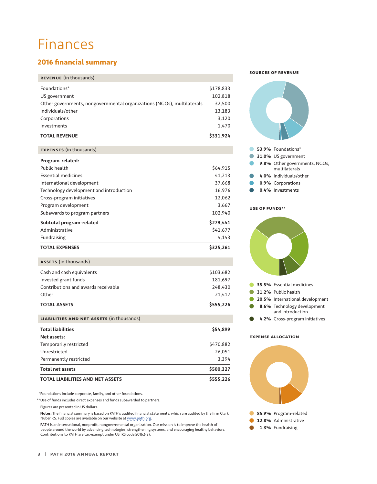# Finances

# **2016 financial summary**

#### Revenue (in thousands)

| <b>TOTAL REVENUE</b>                                                   | \$331,924 |
|------------------------------------------------------------------------|-----------|
| Investments                                                            | 1.470     |
| Corporations                                                           | 3,120     |
| Individuals/other                                                      | 13,183    |
| Other governments, nongovernmental organizations (NGOs), multilaterals | 32,500    |
| US government                                                          | 102,818   |
| Foundations*                                                           | \$178,833 |
|                                                                        |           |

| <b>EXPENSES</b> (in thousands)          |           |
|-----------------------------------------|-----------|
| Program-related:                        |           |
| Public health                           | \$64,915  |
| <b>Essential medicines</b>              | 41,213    |
| International development               | 37,668    |
| Technology development and introduction | 16,976    |
| Cross-program initiatives               | 12,062    |
| Program development                     | 3,667     |
| Subawards to program partners           | 102,940   |
| Subtotal program-related                | \$279,441 |
| Administrative                          | \$41,677  |
| Fundraising                             | 4,143     |
| <b>TOTAL EXPENSES</b>                   | \$325,261 |

#### ASSETS (in thousands)

| <b>TOTAL ASSETS</b>                 | \$555,226 |
|-------------------------------------|-----------|
| Other                               | 21.417    |
| Contributions and awards receivable | 248,430   |
| Invested grant funds                | 181,697   |
| Cash and cash equivalents           | \$103,682 |
|                                     |           |

| 3.394<br>\$500,327 |
|--------------------|
|                    |
|                    |
| 26,051             |
| \$470,882          |
|                    |
|                    |
|                    |

\*Foundations include corporate, family, and other foundations.

\*\*Use of funds includes direct expenses and funds subawarded to partners.

Figures are presented in US dollars.

 Notes: The financial summary is based on PATH's audited financial statements, which are audited by the firm Clark Nuber P.S. Full copies are available on our website at [www.path.org.](http://www.path.org/)

PATH is an international, nonprofit, nongovernmental organization. Our mission is to improve the health of people around the world by advancing technologies, strengthening systems, and encouraging healthy behaviors. Contributions to PATH are tax-exempt under US IRS code 501(c)(3).

#### Sources of revenue



#### Use of funds\*\*



#### Expense allocation

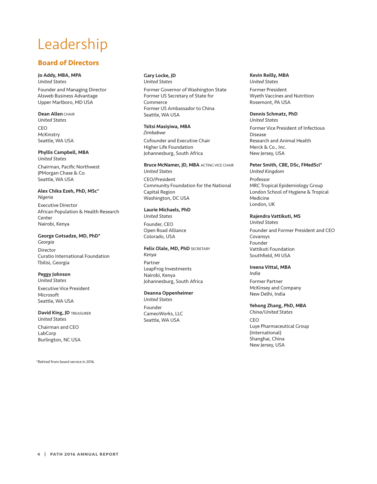# Leadership

# **Board of Directors**

#### Jo Addy, MBA, MPA

*United States* Founder and Managing Director Alsweb Business Advantage Upper Marlboro, MD USA

#### **Dean Allen CHAIR**

*United States* **CEO McKinstrv** Seattle, WA USA

# Phyllis Campbell, MBA

*United States* Chairman, Pacific Northwest JPMorgan Chase & Co. Seattle, WA USA

#### Alex Chika Ezeh, PhD, MSc\* *Nigeria*

Executive Director African Population & Health Research Center Nairobi, Kenya

#### George Gotsadze, MD, PhD\*

*Georgia*  Director Curatio International Foundation Tbilisi, Georgia

#### Peggy Johnson

*United States* Executive Vice President Microsoft Seattle, WA USA

#### David King, JD TREASURER *United States*

Chairman and CEO LabCorp Burlington, NC USA

\*Retired from board service in 2016.

#### Gary Locke, JD *United States*

Former Governor of Washington State Former US Secretary of State for Commerce Former US Ambassador to China Seattle, WA USA

#### Tsitsi Masiyiwa, MBA

*Zimbabwe* Cofounder and Executive Chair Higher Life Foundation Johannesburg, South Africa

### **Bruce McNamer, JD, MBA ACTING VICE CHAIR** *United States*

CEO/President Community Foundation for the National Capital Region Washington, DC USA

#### Laurie Michaels, PhD

*United States* Founder, CEO Open Road Alliance Colorado, USA

#### Felix Olale, MD, PhD SECRETARY

*Kenya* Partner LeapFrog Investments Nairobi, Kenya Johannesburg, South Africa

#### Deanna Oppenheimer

*United States* Founder CameoWorks, LLC Seattle, WA USA

#### Kevin Reilly, MBA *United States*

Former President Wyeth Vaccines and Nutrition Rosemont, PA USA

#### Dennis Schmatz, PhD *United States*

Former Vice President of Infectious Disease Research and Animal Health Merck & Co., Inc. New Jersey, USA

#### Peter Smith, CBE, DSc, FMedSci\*

*United Kingdom* Professor MRC Tropical Epidemiology Group London School of Hygiene & Tropical Medicine London, UK

#### Rajendra Vattikuti, MS

*United States*

Founder and Former President and CEO Covansys Founder Vattikuti Foundation Southfield, MI USA

#### Ireena Vittal, MBA *India*

Former Partner McKinsey and Company New Delhi, India

# Yehong Zhang, PhD, MBA

*China/United States* CEO Luye Pharmaceutical Group (International) Shanghai, China New Jersey, USA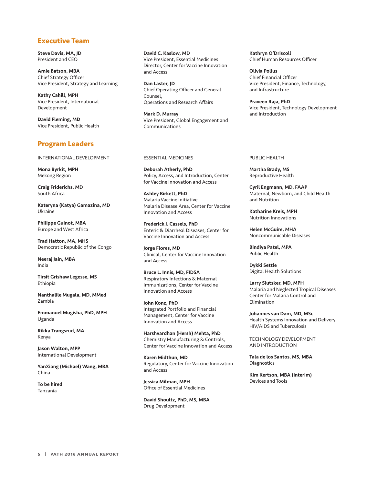### **Executive Team**

Steve Davis, MA, JD President and CEO

Amie Batson, MBA Chief Strategy Officer Vice President, Strategy and Learning

Kathy Cahill, MPH Vice President, International Development

David Fleming, MD Vice President, Public Health

## **Program Leaders**

INTERNATIONAL DEVELOPMENT

Mona Byrkit, MPH Mekong Region

Craig Friderichs, MD South Africa

Kateryna (Katya) Gamazina, MD Ukraine

Philippe Guinot, MBA Europe and West Africa

Trad Hatton, MA, MHS Democratic Republic of the Congo

Neeraj Jain, MBA India

Tirsit Grishaw Legesse, MS Ethiopia

Nanthalile Mugala, MD, MMed Zambia

Emmanuel Mugisha, PhD, MPH Uganda

Rikka Trangsrud, MA Kenya

Jason Walton, MPP International Development

YanXiang (Michael) Wang, MBA China

To be hired Tanzania

David C. Kaslow, MD Vice President, Essential Medicines Director, Center for Vaccine Innovation and Access

Dan Laster, JD Chief Operating Officer and General Counsel, Operations and Research Affairs

Mark D. Murray Vice President, Global Engagement and Communications

#### ESSENTIAL MEDICINES

Deborah Atherly, PhD Policy, Access, and Introduction, Center for Vaccine Innovation and Access

Ashley Birkett, PhD Malaria Vaccine Initiative Malaria Disease Area, Center for Vaccine Innovation and Access

Frederick J. Cassels, PhD Enteric & Diarrheal Diseases, Center for Vaccine Innovation and Access

Jorge Flores, MD Clinical, Center for Vaccine Innovation and Access

Bruce L. Innis, MD, FIDSA Respiratory Infections & Maternal Immunizations, Center for Vaccine Innovation and Access

John Konz, PhD Integrated Portfolio and Financial Management, Center for Vaccine Innovation and Access

Harshvardhan (Hersh) Mehta, PhD Chemistry Manufacturing & Controls, Center for Vaccine Innovation and Access

Karen Midthun, MD Regulatory, Center for Vaccine Innovation and Access

Jessica Milman, MPH Office of Essential Medicines

David Shoultz, PhD, MS, MBA Drug Development

Kathryn O'Driscoll Chief Human Resources Officer

Olivia Polius Chief Financial Officer Vice President, Finance, Technology, and Infrastructure

Praveen Raja, PhD Vice President, Technology Development and Introduction

#### PUBLIC HEALTH

Martha Brady, MS Reproductive Health

Cyril Engmann, MD, FAAP Maternal, Newborn, and Child Health and Nutrition

Katharine Kreis, MPH Nutrition Innovations

Helen McGuire, MHA Noncommunicable Diseases

Bindiya Patel, MPA Public Health

Dykki Settle Digital Health Solutions

Larry Slutsker, MD, MPH Malaria and Neglected Tropical Diseases Center for Malaria Control and Elimination

Johannes van Dam, MD, MSc Health Systems Innovation and Delivery HIV/AIDS and Tuberculosis

TECHNOLOGY DEVELOPMENT AND INTRODUCTION

Tala de los Santos, MS, MBA **Diagnostics** 

Kim Kertson, MBA (interim) Devices and Tools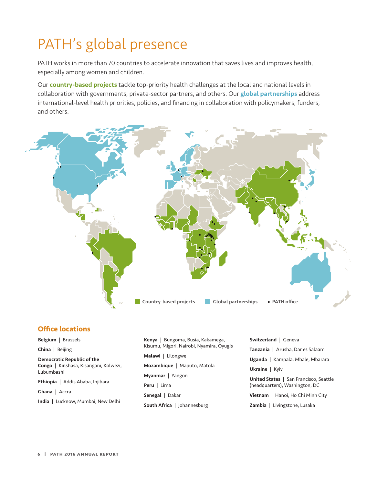# PATH's global presence

PATH works in more than 70 countries to accelerate innovation that saves lives and improves health, especially among women and children.

Our **country-based projects** tackle top-priority health challenges at the local and national levels in collaboration with governments, private-sector partners, and others. Our **global partnerships** address international-level health priorities, policies, and financing in collaboration with policymakers, funders, and others.



### **Office locations**

Belgium | Brussels China | Beijing Democratic Republic of the Congo | Kinshasa, Kisangani, Kolwezi, Lubumbashi

Ethiopia | Addis Ababa, Injibara

Ghana | Accra

India | Lucknow, Mumbai, New Delhi

Kenya | Bungoma, Busia, Kakamega, Kisumu, Migori, Nairobi, Nyamira, Oyugis Malawi | Lilongwe Mozambique | Maputo, Matola Myanmar | Yangon Peru | Lima Senegal | Dakar South Africa | Johannesburg

Switzerland | Geneva

Tanzania | Arusha, Dar es Salaam

Uganda | Kampala, Mbale, Mbarara

Ukraine | Kyiv

United States | San Francisco, Seattle (headquarters), Washington, DC

Vietnam | Hanoi, Ho Chi Minh City

Zambia | Livingstone, Lusaka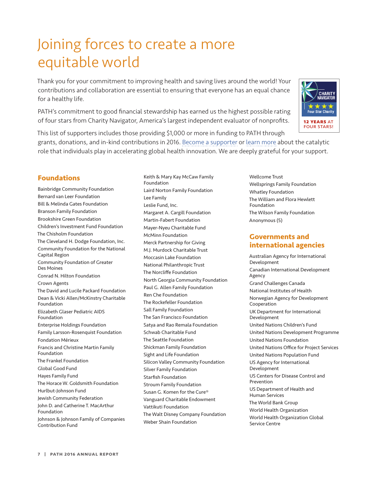# Joining forces to create a more equitable world

Thank you for your commitment to improving health and saving lives around the world! Your contributions and collaboration are essential to ensuring that everyone has an equal chance for a healthy life.

PATH's commitment to good financial stewardship has earned us the highest possible rating of four stars from Charity Navigator, America's largest independent evaluator of nonprofits.



## **Foundations**

Bainbridge Community Foundation Bernard van Leer Foundation Bill & Melinda Gates Foundation Branson Family Foundation Brookshire Green Foundation Children's Investment Fund Foundation The Chisholm Foundation The Cleveland H. Dodge Foundation, Inc. Community Foundation for the National Capital Region Community Foundation of Greater Des Moines Conrad N. Hilton Foundation Crown Agents The David and Lucile Packard Foundation Dean & Vicki Allen/McKinstry Charitable Foundation Elizabeth Glaser Pediatric AIDS Foundation Enterprise Holdings Foundation Family Larsson-Rosenquist Foundation Fondation Mérieux Francis and Christine Martin Family Foundation The Frankel Foundation Global Good Fund Hayes Family Fund The Horace W. Goldsmith Foundation Hurlbut-Johnson Fund Jewish Community Federation John D. and Catherine T. MacArthur Foundation Johnson & Johnson Family of Companies Contribution Fund

Keith & Mary Kay McCaw Family Foundation Laird Norton Family Foundation Lee Family Leslie Fund, Inc. Margaret A. Cargill Foundation Martin-Fabert Foundation Mayer-Nyeu Charitable Fund McMinn Foundation Merck Partnership for Giving M.J. Murdock Charitable Trust Moccasin Lake Foundation National Philanthropic Trust The Norcliffe Foundation North Georgia Community Foundation Paul G. Allen Family Foundation Ren Che Foundation The Rockefeller Foundation Sall Family Foundation The San Francisco Foundation Satya and Rao Remala Foundation Schwab Charitable Fund The Seattle Foundation Shickman Family Foundation Sight and Life Foundation Silicon Valley Community Foundation Silver Family Foundation Starfish Foundation Stroum Family Foundation Susan G. Komen for the Cure® Vanguard Charitable Endowment Vattikuti Foundation The Walt Disney Company Foundation Weber Shain Foundation

Wellcome Trust Wellsprings Family Foundation Whatley Foundation The William and Flora Hewlett Foundation The Wilson Family Foundation Anonymous (5)

# **Governments and international agencies**

Australian Agency for International Development Canadian International Development Agency Grand Challenges Canada National Institutes of Health Norwegian Agency for Development Cooperation UK Department for International Development United Nations Children's Fund United Nations Development Programme United Nations Foundation United Nations Office for Project Services United Nations Population Fund US Agency for International Development US Centers for Disease Control and Prevention US Department of Health and Human Services The World Bank Group World Health Organization World Health Organization Global Service Centre

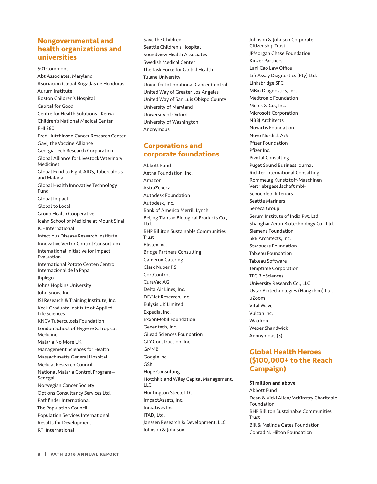# **Nongovernmental and health organizations and universities**

501 Commons Abt Associates, Maryland Asociacion Global Brigadas de Honduras Aurum Institute Boston Children's Hospital Capital for Good Centre for Health Solutions—Kenya Children's National Medical Center FHI 360 Fred Hutchinson Cancer Research Center Gavi, the Vaccine Alliance Georgia Tech Research Corporation Global Alliance for Livestock Veterinary Medicines Global Fund to Fight AIDS, Tuberculosis and Malaria Global Health Innovative Technology Fund Global Impact Global to Local Group Health Cooperative Icahn School of Medicine at Mount Sinai ICF International Infectious Disease Research Institute Innovative Vector Control Consortium International Initiative for Impact Evaluation International Potato Center/Centro Internacional de la Papa Jhpiego Johns Hopkins University John Snow, Inc. JSI Research & Training Institute, Inc. Keck Graduate Institute of Applied Life Sciences KNCV Tuberculosis Foundation London School of Hygiene & Tropical Medicine Malaria No More UK Management Sciences for Health Massachusetts General Hospital Medical Research Council National Malaria Control Program— Senegal Norwegian Cancer Society Options Consultancy Services Ltd. Pathfinder International The Population Council Population Services International Results for Development RTI International

Save the Children Seattle Children's Hospital Soundview Health Associates Swedish Medical Center The Task Force for Global Health Tulane University Union for International Cancer Control United Way of Greater Los Angeles United Way of San Luis Obispo County University of Maryland University of Oxford University of Washington Anonymous

# **Corporations and corporate foundations**

Abbott Fund Aetna Foundation, Inc. Amazon AstraZeneca Autodesk Foundation Autodesk, Inc. Bank of America Merrill Lynch Beijing Tiantan Biological Products Co., Ltd. BHP Billiton Sustainable Communities Trust Blistex Inc. Bridge Partners Consulting Cameron Catering Clark Nuber P.S. **CortControl** CureVac AG Delta Air Lines, Inc. DF/Net Research, Inc. Eulysis UK Limited Expedia, Inc. ExxonMobil Foundation Genentech, Inc. Gilead Sciences Foundation GLY Construction, Inc. **GMMB** Google Inc. GSK Hope Consulting Hotchkis and Wiley Capital Management, LLC Huntington Steele LLC ImpactAssets, Inc. Initiatives Inc. ITAD, Ltd. Janssen Research & Development, LLC Johnson & Johnson

Johnson & Johnson Corporate Citizenship Trust JPMorgan Chase Foundation Kinzer Partners Lani Cao Law Office LifeAssay Diagnostics (Pty) Ltd. Linksbridge SPC MBio Diagnostics, Inc. Medtronic Foundation Merck & Co., Inc. Microsoft Corporation NBBJ Architects Novartis Foundation Novo Nordisk A/S Pfizer Foundation Pfizer Inc. Pivotal Consulting Puget Sound Business Journal Richter International Consulting Rommelag Kunststoff-Maschinen Vertriebsgesellschaft mbH Schoenfeld Interiors Seattle Mariners Seneca Group Serum Institute of India Pvt. Ltd. Shanghai Zerun Biotechnology Co., Ltd. Siemens Foundation SkB Architects, Inc. Starbucks Foundation Tableau Foundation Tableau Software Temptime Corporation TFC BioSciences University Research Co., LLC Ustar Biotechnologies (Hangzhou) Ltd. uZoom Vital Wave Vulcan Inc. Waldron Weber Shandwick Anonymous (3)

# **Global Health Heroes (\$100,000+ to the Reach Campaign)**

#### \$1 million and above

Abbott Fund Dean & Vicki Allen/McKinstry Charitable Foundation BHP Billiton Sustainable Communities **Trust** Bill & Melinda Gates Foundation Conrad N. Hilton Foundation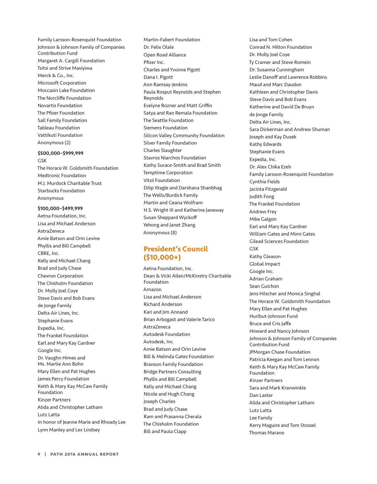Family Larsson-Rosenquist Foundation Johnson & Johnson Family of Companies Contribution Fund Margaret A. Cargill Foundation Tsitsi and Strive Masiyiwa Merck & Co., Inc. Microsoft Corporation Moccasin Lake Foundation The Norcliffe Foundation Novartis Foundation The Pfizer Foundation Sall Family Foundation Tableau Foundation Vattikuti Foundation Anonymous (2)

#### \$500,000–\$999,999

GSK The Horace W. Goldsmith Foundation Medtronic Foundation M.J. Murdock Charitable Trust Starbucks Foundation Anonymous

### \$100,000–\$499,999

Aetna Foundation, Inc. Lisa and Michael Anderson AstraZeneca Amie Batson and Orin Levine Phyllis and Bill Campbell CBRE, Inc. Kelly and Michael Chang Brad and Judy Chase Chevron Corporation The Chisholm Foundation Dr. Molly Joel Coye Steve Davis and Bob Evans de Jonge Family Delta Air Lines, Inc. Stephanie Evans Expedia, Inc. The Frankel Foundation Earl and Mary Kay Gardner Google Inc. Dr. Vaughn Himes and Ms. Martie Ann Bohn Mary Ellen and Pat Hughes James Percy Foundation Keith & Mary Kay McCaw Family Foundation Kinzer Partners Alida and Christopher Latham Lutz Latta In honor of Jeanne Marie and Rhoady Lee Lynn Manley and Lex Lindsey

Martin-Fabert Foundation Dr. Felix Olale Open Road Alliance Pfizer Inc. Charles and Yvonne Pigott Dana I. Pigott Ann Ramsay-Jenkins Paula Rosput Reynolds and Stephen Reynolds Evelyne Rozner and Matt Griffin Satya and Rao Remala Foundation The Seattle Foundation Siemens Foundation Silicon Valley Community Foundation Silver Family Foundation Charles Slaughter Stavros Niarchos Foundation Kathy Surace-Smith and Brad Smith Temptime Corporation Vitol Foundation Dilip Wagle and Darshana Shanbhag The Wells/Burdick Family Martin and Geana Wolfram H.S. Wright III and Katherine Janeway Susan Sheppard Wyckoff Yehong and Janet Zhang Anonymous (8)

# **President's Council (\$10,000+)**

Aetna Foundation, Inc. Dean & Vicki Allen/McKinstry Charitable Foundation Amazon Lisa and Michael Anderson Richard Anderson Kari and Jim Annand Brian Arbogast and Valerie Tarico AstraZeneca Autodesk Foundation Autodesk, Inc. Amie Batson and Orin Levine Bill & Melinda Gates Foundation Branson Family Foundation Bridge Partners Consulting Phyllis and Bill Campbell Kelly and Michael Chang Nicole and Hugh Chang Joseph Charles Brad and Judy Chase Ram and Prasanna Cherala The Chisholm Foundation Bill and Paula Clapp

Lisa and Tom Cohen Conrad N. Hilton Foundation Dr. Molly Joel Coye Ty Cramer and Steve Romein Dr. Susanna Cunningham Leslie Danoff and Lawrence Robbins Maud and Marc Daudon Kathleen and Christopher Davis Steve Davis and Bob Evans Katherine and David De Bruyn de Jonge Family Delta Air Lines, Inc. Sara Dickerman and Andrew Shuman Joseph and Kay Dusek Kathy Edwards Stephanie Evans Expedia, Inc. Dr. Alex Chika Ezeh Family Larsson-Rosenquist Foundation Cynthia Fields Jacinta Fitzgerald Judith Fong The Frankel Foundation Andrew Frey Mike Galgon Earl and Mary Kay Gardner William Gates and Mimi Gates Gilead Sciences Foundation GSK Kathy Gleason Global Impact Google Inc. Adrian Graham Sean Guichon Jens Hilscher and Monica Singhal The Horace W. Goldsmith Foundation Mary Ellen and Pat Hughes Hurlbut-Johnson Fund Bruce and Cris Jaffe Howard and Nancy Johnson Johnson & Johnson Family of Companies Contribution Fund JPMorgan Chase Foundation Patricia Keegan and Tom Lennon Keith & Mary Kay McCaw Family Foundation Kinzer Partners Sara and Mark Kranwinkle Dan Laster Alida and Christopher Latham Lutz Latta Lee Family Kerry Maguire and Tom Stossel Thomas Marano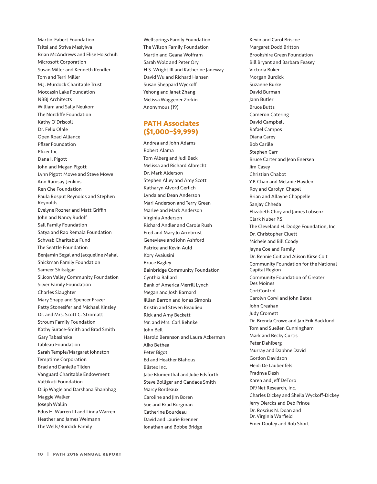Martin-Fabert Foundation Tsitsi and Strive Masiyiwa Brian McAndrews and Elise Holschuh Microsoft Corporation Susan Miller and Kenneth Kendler Tom and Terri Miller M.J. Murdock Charitable Trust Moccasin Lake Foundation NBBJ Architects William and Sally Neukom The Norcliffe Foundation Kathy O'Driscoll Dr. Felix Olale Open Road Alliance Pfizer Foundation Pfizer Inc. Dana I. Pigott John and Megan Pigott Lynn Pigott Mowe and Steve Mowe Ann Ramsay-Jenkins Ren Che Foundation Paula Rosput Reynolds and Stephen Reynolds Evelyne Rozner and Matt Griffin John and Nancy Rudolf Sall Family Foundation Satya and Rao Remala Foundation Schwab Charitable Fund The Seattle Foundation Benjamin Segal and Jacqueline Mahal Shickman Family Foundation Sameer Shikalgar Silicon Valley Community Foundation Silver Family Foundation Charles Slaughter Mary Snapp and Spencer Frazer Patty Stonesifer and Michael Kinsley Dr. and Mrs. Scott C. Stromatt Stroum Family Foundation Kathy Surace-Smith and Brad Smith Gary Tabasinske Tableau Foundation Sarah Temple/Margaret Johnston Temptime Corporation Brad and Danielle Tilden Vanguard Charitable Endowment Vattikuti Foundation Dilip Wagle and Darshana Shanbhag Maggie Walker Joseph Wallin Edus H. Warren III and Linda Warren Heather and James Weimann The Wells/Burdick Family

Wellsprings Family Foundation The Wilson Family Foundation Martin and Geana Wolfram Sarah Wolz and Peter Ory H.S. Wright III and Katherine Janeway David Wu and Richard Hansen Susan Sheppard Wyckoff Yehong and Janet Zhang Melissa Waggener Zorkin Anonymous (19)

# **PATH Associates (\$1,000–\$9,999)**

Andrea and John Adams Robert Alama Tom Alberg and Judi Beck Melissa and Richard Albrecht Dr. Mark Alderson Stephen Alley and Amy Scott Katharyn Alvord Gerlich Lynda and Dean Anderson Mari Anderson and Terry Green Marlee and Mark Anderson Virginia Anderson Richard Andler and Carole Rush Fred and Mary Jo Armbrust Genevieve and John Ashford Patrice and Kevin Auld Kory Avaiusini Bruce Bagley Bainbridge Community Foundation Cynthia Ballard Bank of America Merrill Lynch Megan and Josh Barnard Jillian Barron and Jonas Simonis Kristin and Steven Beaulieu Rick and Amy Beckett Mr. and Mrs. Carl Behnke John Bell Harold Berenson and Laura Ackerman Aiko Bethea Peter Bigot Ed and Heather Blahous Blistex Inc. Jabe Blumenthal and Julie Edsforth Steve Bolliger and Candace Smith Marcy Bordeaux Caroline and Jim Boren Sue and Brad Borgman Catherine Bourdeau David and Laurie Brenner Jonathan and Bobbe Bridge

Kevin and Carol Briscoe Margaret Dodd Britton Brookshire Green Foundation Bill Bryant and Barbara Feasey Victoria Buker Morgan Burdick Suzanne Burke David Burman Jann Butler Bruce Butts Cameron Catering David Campbell Rafael Campos Diana Carey Bob Carlile Stephen Carr Bruce Carter and Jean Enersen Jim Casey Christian Chabot Y.P. Chan and Melanie Hayden Roy and Carolyn Chapel Brian and Allayne Chappelle Sanjay Chheda Elizabeth Choy and James Lobsenz Clark Nuber P.S. The Cleveland H. Dodge Foundation, Inc. Dr. Christopher Cluett Michele and Bill Coady Jayne Coe and Family Dr. Rennie Coit and Alison Kirse Coit Community Foundation for the National Capital Region Community Foundation of Greater Des Moines CortControl Carolyn Corvi and John Bates John Creahan Judy Cromett Dr. Brenda Crowe and Jan Erik Backlund Tom and Suellen Cunningham Mark and Becky Curtis Peter Dahlberg Murray and Daphne David Gordon Davidson Heidi De Laubenfels Pradnya Desh Karen and Jeff DeToro DF/Net Research, Inc. Charles Dickey and Sheila Wyckoff-Dickey Jerry Diercks and Deb Prince Dr. Roscius N. Doan and Dr. Virginia Warfield Emer Dooley and Rob Short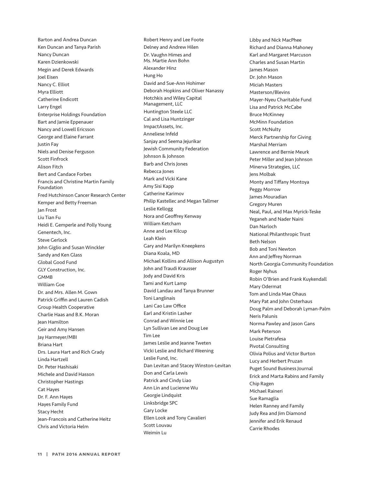Barton and Andrea Duncan Ken Duncan and Tanya Parish Nancy Duncan Karen Dzienkowski Megin and Derek Edwards Joel Eisen Nancy C. Elliot Myra Elliott Catherine Endicott Larry Engel Enterprise Holdings Foundation Bart and Jamie Eppenauer Nancy and Lowell Ericsson George and Elaine Farrant Justin Fay Niels and Denise Ferguson Scott Finfrock Alison Fitch Bert and Candace Forbes Francis and Christine Martin Family Foundation Fred Hutchinson Cancer Research Center Kemper and Betty Freeman Jan Frost Liu Tian Fu Heidi E. Gemperle and Polly Young Genentech, Inc. Steve Gerlock John Giglio and Susan Winckler Sandy and Ken Glass Global Good Fund GLY Construction, Inc. GMMB William Goe Dr. and Mrs. Allen M. Gown Patrick Griffin and Lauren Cadish Group Health Cooperative Charlie Haas and B.K. Moran Jean Hamilton Geir and Amy Hansen Jay Harmeyer/MBI Briana Hart Drs. Laura Hart and Rich Grady Linda Hartzell Dr. Peter Hashisaki Michele and David Hasson Christopher Hastings Cat Hayes Dr. F. Ann Hayes Hayes Family Fund Stacy Hecht Jean-Francois and Catherine Heitz Chris and Victoria Helm

Robert Henry and Lee Foote Delney and Andrew Hilen Dr. Vaughn Himes and Ms. Martie Ann Bohn Alexander Hinz Hung Ho David and Sue-Ann Hohimer Deborah Hopkins and Oliver Nanassy Hotchkis and Wiley Capital Management, LLC Huntington Steele LLC Cal and Lisa Huntzinger ImpactAssets, Inc. Anneliese Infeld Sanjay and Seema Jejurikar Jewish Community Federation Johnson & Johnson Barb and Chris Jones Rebecca Jones Mark and Vicki Kane Amy Sisi Kapp Catherine Karimov Philip Kastellec and Megan Tallmer Leslie Kellogg Nora and Geoffrey Kenway William Ketcham Anne and Lee Kilcup Leah Klein Gary and Marilyn Kneepkens Diana Koala, MD Michael Kollins and Allison Augustyn John and Traudi Krausser Jody and David Kris Tami and Kurt Lamp David Landau and Tanya Brunner Toni Langlinais Lani Cao Law Office Earl and Kristin Lasher Conrad and Winnie Lee Lyn Sullivan Lee and Doug Lee Tim Lee James Leslie and Jeanne Tweten Vicki Leslie and Richard Weening Leslie Fund, Inc. Dan Levitan and Stacey Winston-Levitan Don and Carla Lewis Patrick and Cindy Liao Ann Lin and Lucienne Wu Georgie Lindquist Linksbridge SPC Gary Locke Ellen Look and Tony Cavalieri Scott Louvau Weimin Lu

Libby and Nick MacPhee Richard and Dianna Mahoney Karl and Margaret Marcuson Charles and Susan Martin James Mason Dr. John Mason Miciah Masters Masterson/Blevins Mayer-Nyeu Charitable Fund Lisa and Patrick McCabe Bruce McKinney McMinn Foundation Scott McNulty Merck Partnership for Giving Marshal Merriam Lawrence and Bernie Meurk Peter Miller and Jean Johnson Minerva Strategies, LLC Jens Molbak Monty and Tiffany Montoya Peggy Morrow James Mouradian Gregory Muren Neal, Paul, and Max Myrick-Teske Yeganeh and Nader Naini Dan Narloch National Philanthropic Trust Beth Nelson Bob and Toni Newton Ann and Jeffrey Norman North Georgia Community Foundation Roger Nyhus Robin O'Brien and Frank Kuykendall Mary Odermat Tom and Linda Mae Ohaus Mary Pat and John Osterhaus Doug Palm and Deborah Lyman-Palm Neris Palunis Norma Pawley and Jason Gans Mark Peterson Louise Pietrafesa Pivotal Consulting Olivia Polius and Victor Burton Lucy and Herbert Pruzan Puget Sound Business Journal Erick and Marta Rabins and Family Chip Ragen Michael Raineri Sue Ramaglia Helen Ranney and Family Judy Rea and Jim Diamond Jennifer and Erik Renaud Carrie Rhodes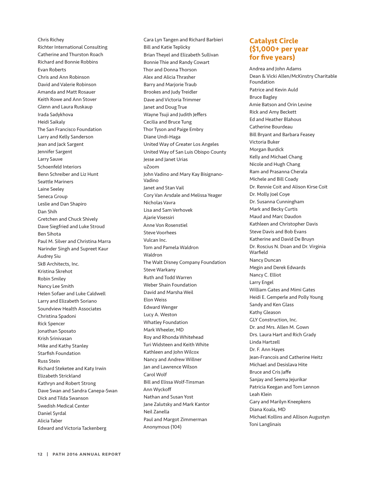Chris Richey Richter International Consulting Catherine and Thurston Roach Richard and Bonnie Robbins Evan Roberts Chris and Ann Robinson David and Valerie Robinson Amanda and Matt Rosauer Keith Rowe and Ann Stover Glenn and Laura Ruskaup Irada Sadykhova Heidi Saikaly The San Francisco Foundation Larry and Kelly Sanderson Jean and Jack Sargent Jennifer Sargent Larry Sauve Schoenfeld Interiors Benn Schreiber and Liz Hunt Seattle Mariners Laine Seeley Seneca Group Leslie and Dan Shapiro Dan Shih Gretchen and Chuck Shively Dave Siegfried and Luke Stroud Ben Sihota Paul M. Silver and Christina Marra Narinder Singh and Supreet Kaur Audrey Siu SkB Architects, Inc. Kristina Skrehot Robin Smiley Nancy Lee Smith Helen Sofaer and Luke Caldwell Larry and Elizabeth Soriano Soundview Health Associates Christina Spadoni Rick Spencer Jonathan Sposato Krish Srinivasan Mike and Kathy Stanley Starfish Foundation Russ Stein Richard Steketee and Katy Irwin Elizabeth Strickland Kathryn and Robert Strong Dave Swan and Sandra Canepa-Swan Dick and Tilda Swanson Swedish Medical Center Daniel Syrdal Alicia Taber Edward and Victoria Tackenberg

Cara Lyn Tangen and Richard Barbieri Bill and Katie Teplicky Brian Theyel and Elizabeth Sullivan Bonnie Thie and Randy Cowart Thor and Donna Thorson Alex and Alicia Thrasher Barry and Marjorie Traub Brookes and Judy Treidler Dave and Victoria Trimmer Janet and Doug True Wayne Tsuji and Judith Jeffers Cecilia and Bruce Tung Thor Tyson and Paige Embry Diane Undi-Haga United Way of Greater Los Angeles United Way of San Luis Obispo County Jesse and Janet Urias uZoom John Vadino and Mary Kay Bisignano-Vadino Janet and Stan Vail Cory Van Arsdale and Melissa Yeager Nicholas Vavra Lisa and Sam Verhovek Ajarie Visessiri Anne Von Rosenstiel Steve Voorhees Vulcan Inc. Tom and Pamela Waldron Waldron The Walt Disney Company Foundation Steve Warkany Ruth and Todd Warren Weber Shain Foundation David and Marsha Weil Elon Weiss Edward Wenger Lucy A. Weston Whatley Foundation Mark Wheeler, MD Roy and Rhonda Whitehead Turi Widsteen and Keith White Kathleen and John Wilcox Nancy and Andrew Willner Jan and Lawrence Wilson Carol Wolf Bill and Elissa Wolf-Tinsman Ann Wyckoff Nathan and Susan Yost Jane Zalutsky and Mark Kantor Neil Zanella Paul and Margot Zimmerman Anonymous (104)

# **Catalyst Circle (\$1,000+ per year for five years)**

Andrea and John Adams Dean & Vicki Allen/McKinstry Charitable Foundation Patrice and Kevin Auld Bruce Bagley Amie Batson and Orin Levine Rick and Amy Beckett Ed and Heather Blahous Catherine Bourdeau Bill Bryant and Barbara Feasey Victoria Buker Morgan Burdick Kelly and Michael Chang Nicole and Hugh Chang Ram and Prasanna Cherala Michele and Bill Coady Dr. Rennie Coit and Alison Kirse Coit Dr. Molly Joel Coye Dr. Susanna Cunningham Mark and Becky Curtis Maud and Marc Daudon Kathleen and Christopher Davis Steve Davis and Bob Evans Katherine and David De Bruyn Dr. Roscius N. Doan and Dr. Virginia Warfield Nancy Duncan Megin and Derek Edwards Nancy C. Elliot Larry Engel William Gates and Mimi Gates Heidi E. Gemperle and Polly Young Sandy and Ken Glass Kathy Gleason GLY Construction, Inc. Dr. and Mrs. Allen M. Gown Drs. Laura Hart and Rich Grady Linda Hartzell Dr. F. Ann Hayes Jean-Francois and Catherine Heitz Michael and Desislava Hite Bruce and Cris Jaffe Sanjay and Seema Jejurikar Patricia Keegan and Tom Lennon Leah Klein Gary and Marilyn Kneepkens Diana Koala, MD Michael Kollins and Allison Augustyn Toni Langlinais